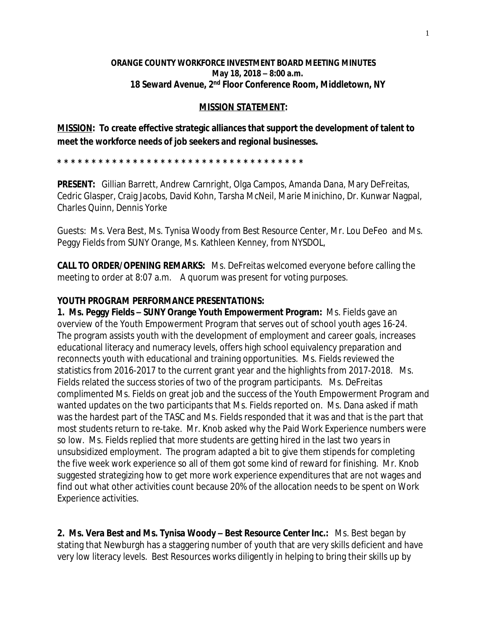## **ORANGE COUNTY WORKFORCE INVESTMENT BOARD MEETING MINUTES May 18, 2018 – 8:00 a.m. 18 Seward Avenue, 2nd Floor Conference Room, Middletown, NY**

## **MISSION STATEMENT:**

**MISSION: To create effective strategic alliances that support the development of talent to meet the workforce needs of job seekers and regional businesses.**

**\* \* \* \* \* \* \* \* \* \* \* \* \* \* \* \* \* \* \* \* \* \* \* \* \* \* \* \* \* \* \* \* \* \* \* \*** 

**PRESENT:** Gillian Barrett, Andrew Carnright, Olga Campos, Amanda Dana, Mary DeFreitas, Cedric Glasper, Craig Jacobs, David Kohn, Tarsha McNeil, Marie Minichino, Dr. Kunwar Nagpal, Charles Quinn, Dennis Yorke

Guests: Ms. Vera Best, Ms. Tynisa Woody from Best Resource Center, Mr. Lou DeFeo and Ms. Peggy Fields from SUNY Orange, Ms. Kathleen Kenney, from NYSDOL,

**CALL TO ORDER/OPENING REMARKS:** Ms. DeFreitas welcomed everyone before calling the meeting to order at 8:07 a.m. A quorum was present for voting purposes.

## **YOUTH PROGRAM PERFORMANCE PRESENTATIONS:**

**1. Ms. Peggy Fields – SUNY Orange Youth Empowerment Program:** Ms. Fields gave an overview of the Youth Empowerment Program that serves out of school youth ages 16-24. The program assists youth with the development of employment and career goals, increases educational literacy and numeracy levels, offers high school equivalency preparation and reconnects youth with educational and training opportunities. Ms. Fields reviewed the statistics from 2016-2017 to the current grant year and the highlights from 2017-2018. Ms. Fields related the success stories of two of the program participants. Ms. DeFreitas complimented Ms. Fields on great job and the success of the Youth Empowerment Program and wanted updates on the two participants that Ms. Fields reported on. Ms. Dana asked if math was the hardest part of the TASC and Ms. Fields responded that it was and that is the part that most students return to re-take. Mr. Knob asked why the Paid Work Experience numbers were so low. Ms. Fields replied that more students are getting hired in the last two years in unsubsidized employment. The program adapted a bit to give them stipends for completing the five week work experience so all of them got some kind of reward for finishing. Mr. Knob suggested strategizing how to get more work experience expenditures that are not wages and find out what other activities count because 20% of the allocation needs to be spent on Work Experience activities.

**2. Ms. Vera Best and Ms. Tynisa Woody – Best Resource Center Inc.:** Ms. Best began by stating that Newburgh has a staggering number of youth that are very skills deficient and have very low literacy levels. Best Resources works diligently in helping to bring their skills up by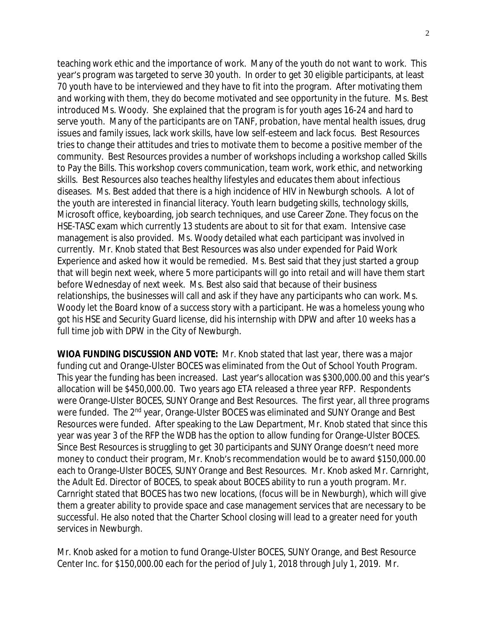teaching work ethic and the importance of work. Many of the youth do not want to work. This year's program was targeted to serve 30 youth. In order to get 30 eligible participants, at least 70 youth have to be interviewed and they have to fit into the program. After motivating them and working with them, they do become motivated and see opportunity in the future. Ms. Best introduced Ms. Woody. She explained that the program is for youth ages 16-24 and hard to serve youth. Many of the participants are on TANF, probation, have mental health issues, drug issues and family issues, lack work skills, have low self-esteem and lack focus. Best Resources tries to change their attitudes and tries to motivate them to become a positive member of the community. Best Resources provides a number of workshops including a workshop called Skills to Pay the Bills. This workshop covers communication, team work, work ethic, and networking skills. Best Resources also teaches healthy lifestyles and educates them about infectious diseases. Ms. Best added that there is a high incidence of HIV in Newburgh schools. A lot of the youth are interested in financial literacy. Youth learn budgeting skills, technology skills, Microsoft office, keyboarding, job search techniques, and use Career Zone. They focus on the HSE-TASC exam which currently 13 students are about to sit for that exam. Intensive case management is also provided. Ms. Woody detailed what each participant was involved in currently. Mr. Knob stated that Best Resources was also under expended for Paid Work Experience and asked how it would be remedied. Ms. Best said that they just started a group that will begin next week, where 5 more participants will go into retail and will have them start before Wednesday of next week. Ms. Best also said that because of their business relationships, the businesses will call and ask if they have any participants who can work. Ms. Woody let the Board know of a success story with a participant. He was a homeless young who got his HSE and Security Guard license, did his internship with DPW and after 10 weeks has a full time job with DPW in the City of Newburgh.

**WIOA FUNDING DISCUSSION AND VOTE:** Mr. Knob stated that last year, there was a major funding cut and Orange-Ulster BOCES was eliminated from the Out of School Youth Program. This year the funding has been increased. Last year's allocation was \$300,000.00 and this year's allocation will be \$450,000.00. Two years ago ETA released a three year RFP. Respondents were Orange-Ulster BOCES, SUNY Orange and Best Resources. The first year, all three programs were funded. The 2<sup>nd</sup> year, Orange-Ulster BOCES was eliminated and SUNY Orange and Best Resources were funded. After speaking to the Law Department, Mr. Knob stated that since this year was year 3 of the RFP the WDB has the option to allow funding for Orange-Ulster BOCES. Since Best Resources is struggling to get 30 participants and SUNY Orange doesn't need more money to conduct their program, Mr. Knob's recommendation would be to award \$150,000.00 each to Orange-Ulster BOCES, SUNY Orange and Best Resources. Mr. Knob asked Mr. Carnright, the Adult Ed. Director of BOCES, to speak about BOCES ability to run a youth program. Mr. Carnright stated that BOCES has two new locations, (focus will be in Newburgh), which will give them a greater ability to provide space and case management services that are necessary to be successful. He also noted that the Charter School closing will lead to a greater need for youth services in Newburgh.

Mr. Knob asked for a motion to fund Orange-Ulster BOCES, SUNY Orange, and Best Resource Center Inc. for \$150,000.00 each for the period of July 1, 2018 through July 1, 2019. Mr.